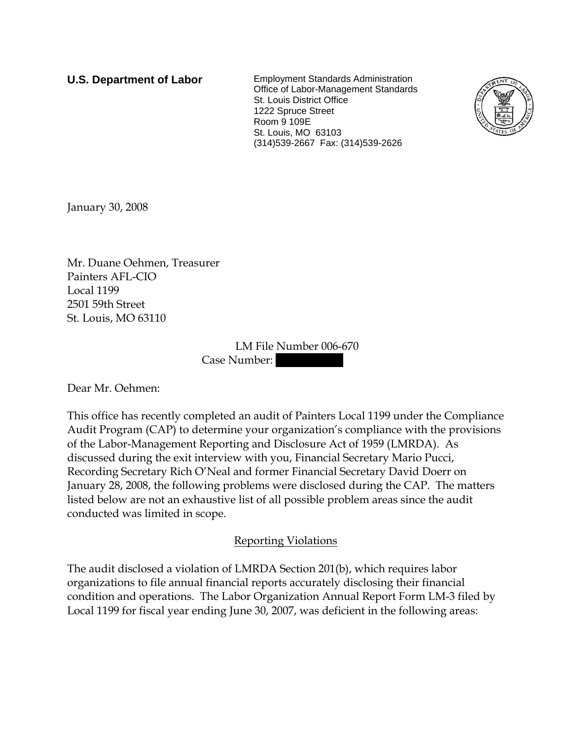**U.S. Department of Labor** Employment Standards Administration Office of Labor-Management Standards St. Louis District Office 1222 Spruce Street Room 9 109E St. Louis, MO 63103 (314)539-2667 Fax: (314)539-2626



January 30, 2008

Mr. Duane Oehmen, Treasurer Painters AFL-CIO Local 1199 2501 59th Street St. Louis, MO 63110

> LM File Number 006-670 Case Number:

Dear Mr. Oehmen:

This office has recently completed an audit of Painters Local 1199 under the Compliance Audit Program (CAP) to determine your organization's compliance with the provisions of the Labor-Management Reporting and Disclosure Act of 1959 (LMRDA). As discussed during the exit interview with you, Financial Secretary Mario Pucci, Recording Secretary Rich O'Neal and former Financial Secretary David Doerr on January 28, 2008, the following problems were disclosed during the CAP. The matters listed below are not an exhaustive list of all possible problem areas since the audit conducted was limited in scope.

## Reporting Violations

The audit disclosed a violation of LMRDA Section 201(b), which requires labor organizations to file annual financial reports accurately disclosing their financial condition and operations. The Labor Organization Annual Report Form LM-3 filed by Local 1199 for fiscal year ending June 30, 2007, was deficient in the following areas: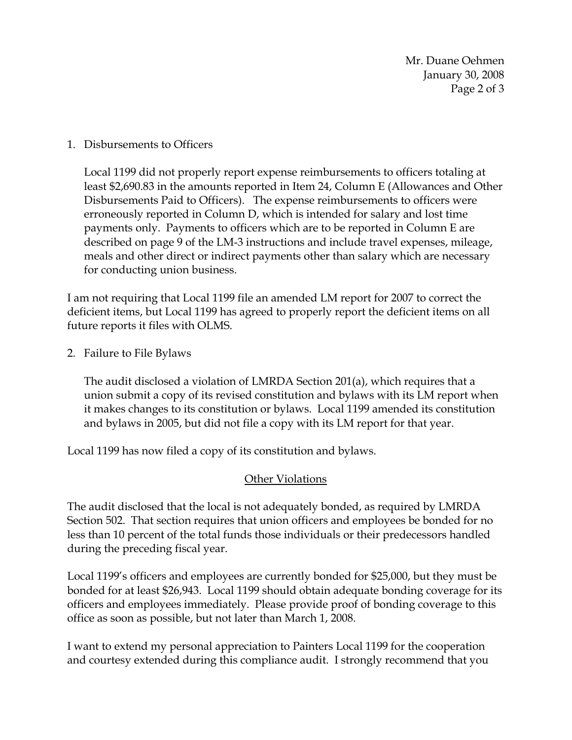Mr. Duane Oehmen January 30, 2008 Page 2 of 3

## 1. Disbursements to Officers

Local 1199 did not properly report expense reimbursements to officers totaling at least \$2,690.83 in the amounts reported in Item 24, Column E (Allowances and Other Disbursements Paid to Officers). The expense reimbursements to officers were erroneously reported in Column D, which is intended for salary and lost time payments only. Payments to officers which are to be reported in Column E are described on page 9 of the LM-3 instructions and include travel expenses, mileage, meals and other direct or indirect payments other than salary which are necessary for conducting union business.

I am not requiring that Local 1199 file an amended LM report for 2007 to correct the deficient items, but Local 1199 has agreed to properly report the deficient items on all future reports it files with OLMS.

2. Failure to File Bylaws

The audit disclosed a violation of LMRDA Section 201(a), which requires that a union submit a copy of its revised constitution and bylaws with its LM report when it makes changes to its constitution or bylaws. Local 1199 amended its constitution and bylaws in 2005, but did not file a copy with its LM report for that year.

Local 1199 has now filed a copy of its constitution and bylaws.

## **Other Violations**

The audit disclosed that the local is not adequately bonded, as required by LMRDA Section 502. That section requires that union officers and employees be bonded for no less than 10 percent of the total funds those individuals or their predecessors handled during the preceding fiscal year.

Local 1199's officers and employees are currently bonded for \$25,000, but they must be bonded for at least \$26,943. Local 1199 should obtain adequate bonding coverage for its officers and employees immediately. Please provide proof of bonding coverage to this office as soon as possible, but not later than March 1, 2008.

I want to extend my personal appreciation to Painters Local 1199 for the cooperation and courtesy extended during this compliance audit. I strongly recommend that you